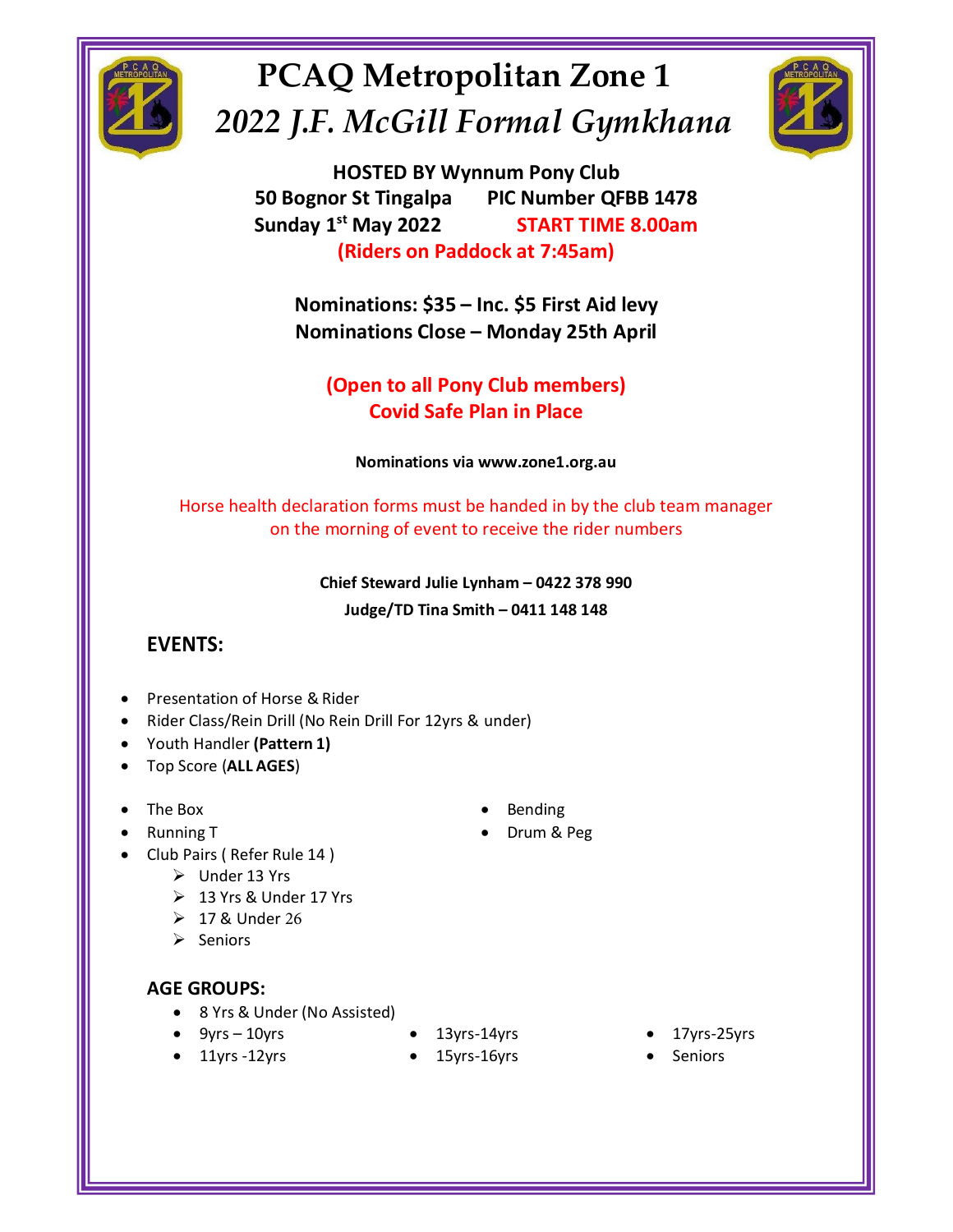

# PCAQ Metropolitan Zone 1 PCAQ Metropolitan Zone 1<br>2022 J.F. McGill Formal Gymkhana<br>50 Bognor St Tingalpa PIC Number QFBB 1478<br>Sunday 1<sup>st</sup> May 2022 START TIME 8.00am



McGill Formal Gymkhana<br>
McGill Formal Gymkhana<br>
HOSTED BY Wynnum Pony Club<br>
or St Tingalpa PIC Number QFBB 1478<br>
S<sup>Ist</sup> May 2022 START TIME 8.00am<br>
(Riders on Paddock at 7:45am) PCAQ Metropolitan Zone 1<br>
22 J.F. McGill Formal Gymkhana<br>
HOSTED BY Wynnum Pony Club<br>
50 Bognor St Tingalpa PIC Number QFBB 1478<br>
Sunday 1<sup>st</sup> May 2022 START TIME 8.00am<br>
(Riders on Paddock at 7:45am)<br>
Nominations: \$35 – I Sunday 1st May 2022 START TIME 8.00am **D** Metropolitan Zone 1<br>
McGill Formal Gymkhana<br>
HOSTED BY Wynnum Pony Club<br>
or St Tingalpa PIC Number QFBB 1478<br>
st May 2022 START TIME 8.00am<br>
(Riders on Paddock at 7:45am)<br>
inations: \$35 – Inc. \$5 First Aid levy<br>
inatio (Refreshold and Gymkhana)<br>
McGill Formal Gymkhana<br>
HOSTED BY Wynnum Pony Club<br>
I's St Tingalpa PIC Number QFBB 1478<br>
St May 2022 START TIME 8.00am<br>
(Riders on Paddock at 7:45am)<br>
inations: \$35 – Inc. \$5 First Aid levy<br>
ina Nominations: \$35 – Inc. \$5 First Aid levy<br>
(Open to all Pormal Gymkhana<br>
Nosted By Wynnum Pony Club<br>
ognor St Tingalpa PIC Number QFBB 1478<br>
(Riders on Paddock at 7:45am)<br>
Nominations: \$35 – Inc. \$5 First Aid levy<br>
Nominat Nominations View Wynnum Pony Club<br>
N.F. McGill Formal Gymkhana<br>
HOSTED BY Wynnum Pony Club<br>
ognor St Tingalpa – PIC Number QFBB 1478<br>
lay 1<sup>st</sup> May 2022 – START TIME 8.00am<br>
(Riders on Paddock at 7:45am)<br>
Nominations: \$35 (a) Metropolitan Zone 1<br>
McGill Formal Gymkhana<br>
HOSTED BY Wynnum Pony Club<br>
or St Tingalpa PIC Number QFBB 1478<br>
1<sup>3t</sup> May 2022 START TIME 8.00am<br>
(Riders on Paddock at 7:45am)<br>
minations: \$35 – Inc. \$5 First Aid levy<br>
mi Metropolitan Zone 1<br>
IcGill Formal Gymkhana<br>
THED BY Wynnum Pony Club<br>
Tingalpa PIC Number QFBB 1478<br>
Iay 2022 START TIME 8.00am<br>
Iers on Paddock at 7:45am)<br>
Iers on Paddock at 7:45am)<br>
Iers on Paddock at 7:45am)<br>
Into all McGill Formal Gymkhana<br>
SISTED BY Wynnum Pony Club<br>
St Tingalpa PIC Number QFBB 1478<br>
May 2022 START TIME 8.00am<br>
Iders on Paddock at 7:45am)<br>
ations: \$35 – Inc. \$5 First Aid levy<br>
ations: \$35 – Inc. \$5 First Aid levy<br>
ati EVENTIFY FOR THE CONTRACTED BY Wynnum Pony Club<br>
50 Bognor St Tingalpa PIC Number QFBB 1478<br>
Sunday 1<sup>st</sup> May 2022 START TIME 8.00am<br>
(Riders on Paddock at 7:45am)<br>
Nominations: \$35 – Inc. \$5 First Aid levy<br>
Nominations Cl HOSTED BY Wynnum Pony Club<br>
D Bognor St Tingalpa PIC Number QFBB 1478<br>
unday 1<sup>st</sup> May 2022 START TIME 8.00am<br>
(Riders on Paddock at 7:45am)<br>
Nominations: \$35 – Inc. \$5 First Aid levy<br>
Nominations Close – Monday 25th April 1<sup>st</sup> May 2022 START TIME 8.00am<br>
(Riders on Paddock at 7:45am)<br>
minations: \$35 – Inc. \$5 First Aid levy<br>
minations Close – Monday 25th April<br>
(Open to all Pony Club members)<br>
Covid Safe Plan in Place<br>
Mominations via www.

Riders on Paddock at 7:45am)<br>
nations: \$35 – Inc. \$5 First Aid levy<br>
nations Close – Monday 25th April<br>
ppen to all Pony Club members)<br>
Covid Safe Plan in Place<br>
Nominations via www.zone1.org.au<br>
ion forms must be handed i **• Presentation of Horse & Rider**<br>
• **Presentation of Horse Bank Drill For 12yrs & underlineration**<br>
• **Rider Steward Julie Lynham – 0422 378 990<br>
• <b>Chief Steward Julie Lynham – 0422 378 990**<br>
• **Chief Steward Julie Ly** WWW.Zone1.org.au<br>
e handed in by the club team manager<br>
receive the rider numbers<br>
nham – 0422 378 990<br>
th – 0411 148 148<br>
under)<br>
. Bending<br>
. Drum & Peg<br>
Drum & Peg

# EVENTS:

- 
- EVENTS:<br>
 Presentation of Horse & Rider<br>
Rider Class/Rein Drill For Drill For 12yrs & under)<br>
Top Score (ALLAGES)<br>
The Box<br>
 9yrs 10ther 13 Yrs<br>
 9yrs & Under 17 Yrs<br>
 17 & Under 17 Yrs<br>
 17 & Under 17<br>
 17 & Under
- 
- 
- The Box
- Running T
- Club Pairs ( Refer Rule 14 )
	- ➢ Under 13 Yrs
	- ➢ 13 Yrs & Under 17 Yrs
	- $> 17$  & Under 26
	- ➢ Seniors

- 
- 
- 
- 
- 
- 
- 
- 
- **Bending**
-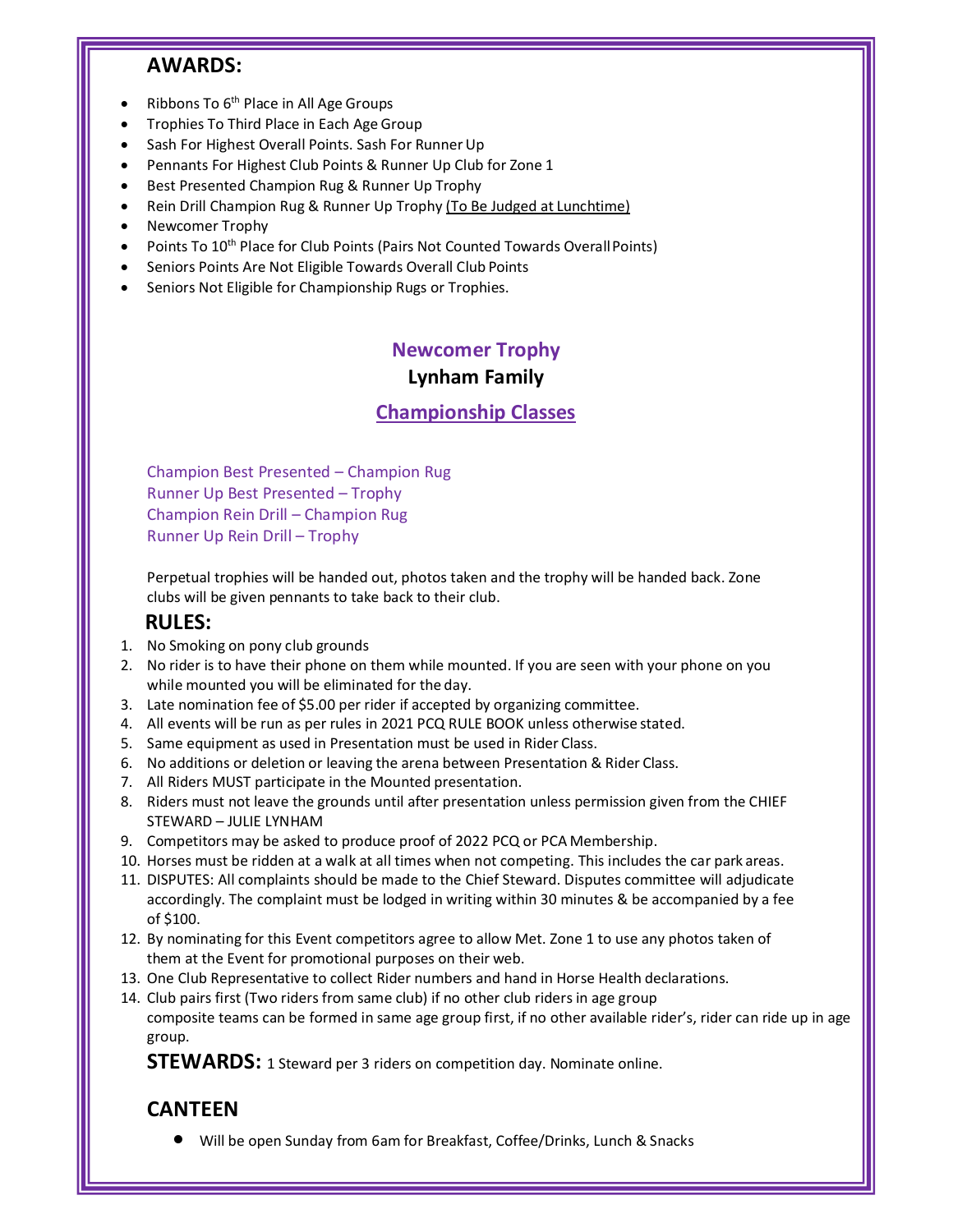# AWARDS:

- 
- 
- 
- 
- 
- Ribbons To 6<sup>th</sup> Place in All Age Groups<br>• Trophies To Third Place in Each Age Group<br>• Sash For Highest Overall Points. Sash For Runner Up<br>• Pennants For Highest Club Points & Runner Up Club for Zone 1<br>• Best Presented C
- 
- **EXECTS:**<br>• Ribbons To 6<sup>th</sup> Place in All Age Groups<br>• Trophies To Third Place in Each Age Group<br>• Sash For Highest Overall Points. Sash For Runner Up<br>• Pennants For Highest Club Points. Sa Runner Up Club for Zone 1<br>• Best **AWARDS:**<br>• Ribbons To 6<sup>th</sup> Place in All Age Groups<br>• Trophies To Third Place in Each Age Group<br>• Sash For Highest Overall Points. Sash For Runner Up<br>• Pennants For Highest Club Points & Runner Up Trophy<br>• Reis Presented **AWARDS:**<br>
• Ribbons To 6<sup>th</sup> Place in All Age Groups<br>
• Trophies To Third Place in Each Age Group<br>
• Scali For Highest Overall Points. Sash For Runner Up<br>
• Bennatts For Highest Club Points & Runner Up Trophy<br>
• Rein Dril For Runner Up<br>
Iron Runner Up<br>
Inner Up Club for Zone 1<br>
Inner Up Club for Zone 1<br>
Irophy <u>(To Be Judged at Lunchtime)</u><br>
airs Not Counted Towards Overall Points<br>
So Overall Club Points<br>
Rugs or Trophy<br> **Newcomer Trophy<br>
Ly** p<br>
p<br>
Runner Up Club for Zone 1<br>
L'Up Trophy<br>
rophy <u>(To Be Judged at Lunchtime)</u><br>
s Not Counted Towards Overall Points)<br>
Doverall Club Points<br>
gs or Trophies.<br> **Lynham Family<br>
Lynham Family<br>
mpionship Classes**<br>
nn Rug
- 
- 

pps<br>
In For Runner Up<br>
In For Runner Up (lub for Zone 1<br>
Inner Up Trophy<br>
Up Trophy <u>(To Be Judged at Lunchtime)</u><br>
(Pairs Not Counted Towards Overall Points<br>
ards Overall Club Points<br>
Inp Rugs or Trophies.<br> **Newcomer Troph** Ribbons To 6<sup>th</sup> Place in All Age Groups<br>Tosh For Mighest Overall Points. Sash For Runner Up<br>Sash For Highest Overall Points. Sash For Runner Up<br>Champion Rug & Runner Up Trophy<br>(Desember 2014)<br>Rein Presented Champion Rug & Trophies To Third Place in Each Age Group<br>
Trophies To Third Place in Each Age Group<br>
Sash For Highest Club Points. Sash For Runner Up<br>
Pennants For Highest Club Points. Sash For Runner Up<br>
Rest Presented Champion Rug & Ru Sash For Highest Overall Points. Sash For Runner Up<br>Pennants For Highest Club Points & Runner Up Olub for Zone 1<br>Best Presented Champion Rug & Runner Up Trophy<br>Rein Drill Champion Rug & Runner Up Trophy<br>Newcomer Trophy<br>Poi Pennants For Highest Club Points & Runner Up Club for Zone 1<br>
Best Presented Champion Rug & Runner Up Trophy<br>
Rein Drill Champion Rug & Runner Up Trophy (To <u>Be Judged at Lunchtime)</u><br>
Newcomer Trophy<br>
Points To 10<sup>th</sup> Plac Rein Drill Champion Rug & Runner Up Trophy <u>Tro Be Judged at Lunchtime)</u><br>Points To 10<sup>th</sup> Place for Club Points (Pairs Not Counted Towards Overall Points)<br>Seniors Points Are Not Eligible Towards Overall Club Points.<br>Points Newcomer Trophy<br>
Penios To 10<sup>9</sup> Place for Club Points (Pairs Not Counted Towards Overall Points)<br>
Penios Points Are Not Eligible Towards Overall Club Points<br>
Seniors Not Eligible for Championship Rugs or Trophies.<br> **Newco** • Seniors Points Are Not Eligible Towards Overall Club Points<br>
• Seniors Not Eligible for Championship Rugs or Trophies.<br>
• Newcomer **Trophy**<br>
• **Lynham Family**<br>
• **Championship Classes**<br>
• Champion Rest Presented – Cham • Seniors Not Eligible for Championship Rugs or Trophies.<br> **Newcomer Trophy**<br> **Lynham Family**<br> **Champion Best Presented – Champion Rug**<br>
Runner Up Best Presented – Trophy<br>
Champion Rein Drill – Champion Rug<br>
Runner Up Rei **Example 18 The Mathematic Scheme Community**<br> **Example 19 The Example Scheme Community**<br> **Champion Best Presented - Champion Rug**<br>
Runner Up Best Presented - Trophy<br>
Champion Rein Drill - Champion Rug<br>
Runner Up Rein Drill **Solution From Markon From Markon From Markon From Markon From Markon From Markon From Pass Presented - Champion Rug<br>
Runner Up Best Presented - Champion Rug<br>
Champion Reis Presented - Champion Rug<br>
Champion Reis Portler D Example 1.1 All exercutes with the run as per rules with the run as per rules will be performed that the run as per rules will be given permants to take back to their club.<br>
<b>Example 1.0** Represented - Trophy<br> **Example Examplion Best Presented – Championship Classes**<br>
Champion Best Presented – Champion Rug<br>
Runner Up Best Presented – Trophy<br>
Champion Rein Drill – Champion Rug<br>
Runner Up Rein Drill – Champion Rug<br>
Runner Up Rein Drill – **Champions hip Classes**<br>
Champions est Presented – Trophy<br>
Runner Up Best Presented – Trophy<br>
Champion Reli<br>
Champion River<br>
RULES<br>
Numer Up Rein Drill – Trophy<br>
Perpetual trophise will be handed out, photos taken and the **Championship Classes**<br>
Champion Best Presented - Champion Rug<br>
Runner Up Best Presented - Trophy<br>
Champion Rein Drill - Champion Rug<br>
Runner Up Rein Drill - Champion Rug<br>
Runner Up Rein Drill - Trophy<br>
Champion Rug<br>
Runne

# RULES:

- 
- 
- 
- 
- 
- 
- 
- 
- 
- 
- Champion Best Presented Champion Rug<br>
Runner Up Best Presented Trophy<br>
Champion Rein Drill Champion Rug<br>
Runner Up Rein Drill Trophy<br>
Perpetual trophies will be handed out, photos taken and the trophy will be hande Champion Best Presented – Champion Rug<br>
Runner Up Best Presented – Trophy<br>
Champion Rein Drill – Champion Rug<br>
Runner Up Rein Drill – Champion Rug<br>
Runner Up Rein Drill – Trophy<br>
Perpetual trophies will be handed out, phot Champion Best Presented – Champion Rug<br>
Runner Up Best Presented – Trophy<br>
Champion Rein Drill – Champion Rug<br>
Runner Up Rein Drill – Trophy<br>
Perpetual trophies will be handed out, photos taken and the trophy will be hande Example on Religion that the best must be religion that all times when the real times are a walk at all times must be religion Religion Religion Reported that a No Smoking on pony club given pennants to take back to their ntumer - up be stressented - - ntopying<br>
Champion Rigil - Champion Rigil<br>
Runner Up Rein Drill - Trophy<br>
Perpetual trophise will be handed out, photos taken and the trophy will be handed back. Zone<br>
clubs will be given pen Channy of the completion of the completion of the completion of the companies and the transfer of the completion of the completion of the completion of the completion of the completion of the companies of the companied of Runner Up Rein Drill – Trophy<br>
Perpetual trophies will be handed out, photos taken and the trophy will be handed<br>
clubs will be given pennants to take back to their club.<br> **RULES:**<br> **RULES:**<br>
NO simpline mounted you will b
- 
- 
- Perpetual trophies will be handed out, photos taken and the trophy will be handed back. Zone<br> **RULES:**<br> **RULES:**<br> **RULES:**<br> **RULES:**<br> **RULES:**<br> **RULES:**<br> **RULES:**<br> **RULES:**<br> **RULES:**<br> **RULES:**<br> **RULES:**<br> **RULES:**<br> **RULES:** Perpetual trophis will be handed out, photos taken and the trophy will be handed back. Zone<br>
clubs will be given pennants to take back to their club.<br>
NO rindelig on prony club grounds<br>
No rider is to have their phone on t club Representative to their club.<br>
1. No Smoking on pony club grounds<br>
2. No rider's to have their phone on them while mounted. If you are seen with your phone on you<br>
2. No rider's to have their phone on them while mount **RULES:**<br>
1. No Smoking on pony club grounds<br>
2. No rider is to have their phone on them while mounted. If you are seen with your phone on you<br>
2. No rider is to have their phone on them while mounted. If you are seen with No Smoking on pony club grounds<br>
No rider is to have their phone on them while mounted. If you are seen with your phone on you<br>
While mounted you will be eliminated for the day.<br>
Lall events will be run as per rules in 202 group. while mounted you will be eliminated for the day.<br>
Steller momination fee of 55.00 per rider if accepted by organizing committee.<br>
All events will be run as per rules in 2021 PCQ RULE BOOK unless otherwise stated.<br>
All eve diditions or deletion or leaving the arean between Presentation & Rider Class.<br>
Midders MUST participate in the Mounted presentation.<br>
WARD – JUUE LYNHAM<br>
ONROL - LYNHAM<br>
Operticus may be asked to produce proof of 2022 PCQ

# **CANTEEN**